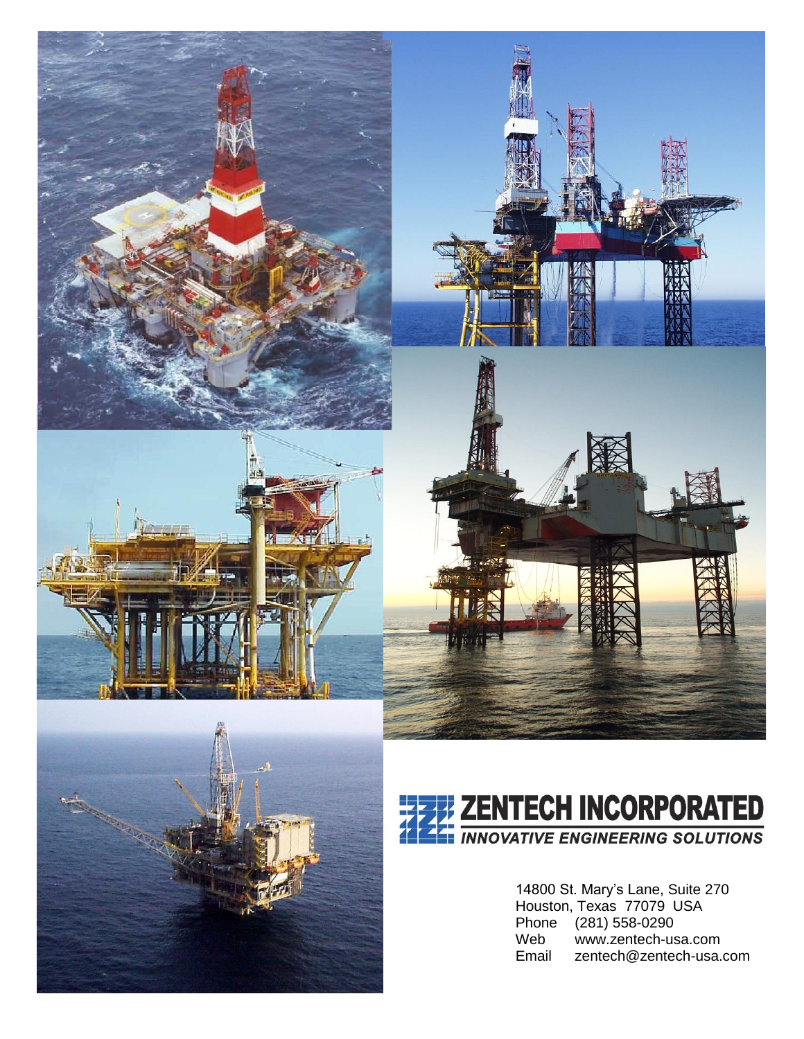









14800 St. Mary's Lane, Suite 270 Houston, Texas 77079 USA Phone (281) 558-0290 Web www.zentech-usa.com<br>Email zentech@zentech-usa. zentech@zentech-usa.com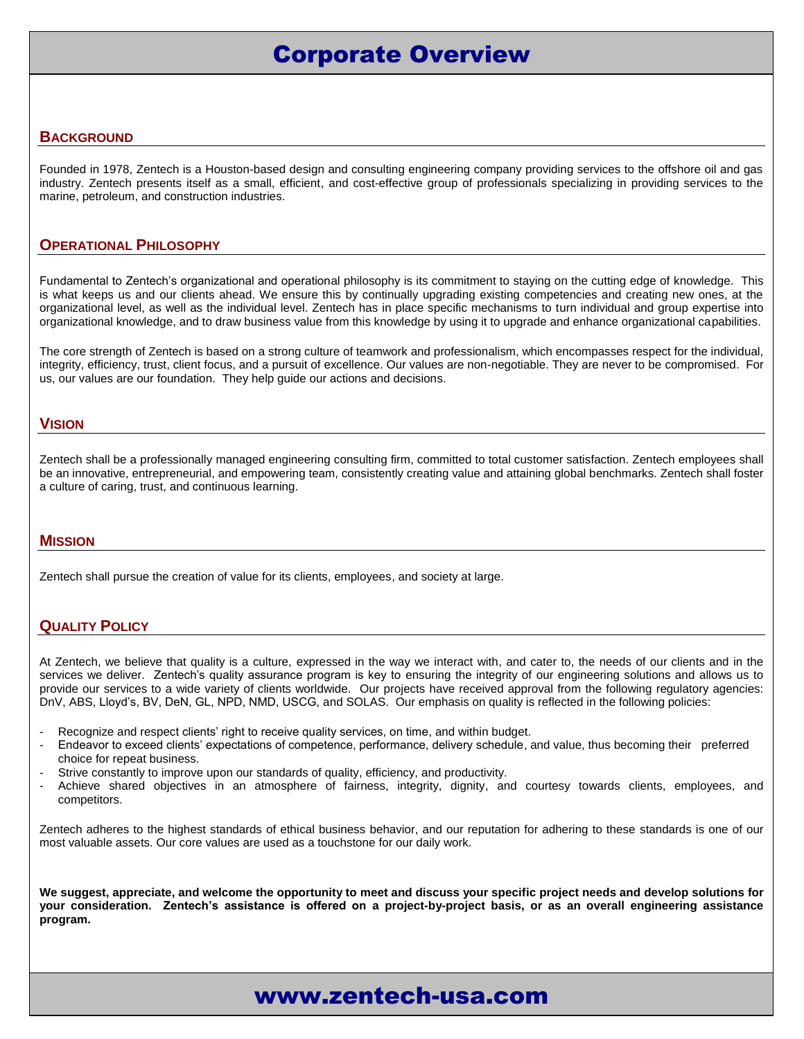# Corporate Overview

#### **BACKGROUND**

Founded in 1978, Zentech is a Houston-based design and consulting engineering company providing services to the offshore oil and gas industry. Zentech presents itself as a small, efficient, and cost-effective group of professionals specializing in providing services to the marine, petroleum, and construction industries.

#### **OPERATIONAL PHILOSOPHY**

Fundamental to Zentech's organizational and operational philosophy is its commitment to staying on the cutting edge of knowledge. This is what keeps us and our clients ahead. We ensure this by continually upgrading existing competencies and creating new ones, at the organizational level, as well as the individual level. Zentech has in place specific mechanisms to turn individual and group expertise into organizational knowledge, and to draw business value from this knowledge by using it to upgrade and enhance organizational capabilities.

The core strength of Zentech is based on a strong culture of teamwork and professionalism, which encompasses respect for the individual, integrity, efficiency, trust, client focus, and a pursuit of excellence. Our values are non-negotiable. They are never to be compromised. For us, our values are our foundation. They help guide our actions and decisions.

#### **VISION**

Zentech shall be a professionally managed engineering consulting firm, committed to total customer satisfaction. Zentech employees shall be an innovative, entrepreneurial, and empowering team, consistently creating value and attaining global benchmarks. Zentech shall foster a culture of caring, trust, and continuous learning.

#### **MISSION**

Zentech shall pursue the creation of value for its clients, employees, and society at large.

#### **QUALITY POLICY**

At Zentech, we believe that quality is a culture, expressed in the way we interact with, and cater to, the needs of our clients and in the services we deliver. Zentech's quality assurance program is key to ensuring the integrity of our engineering solutions and allows us to provide our services to a wide variety of clients worldwide. Our projects have received approval from the following regulatory agencies: DnV, ABS, Lloyd's, BV, DeN, GL, NPD, NMD, USCG, and SOLAS. Our emphasis on quality is reflected in the following policies:

- Recognize and respect clients' right to receive quality services, on time, and within budget.
- Endeavor to exceed clients' expectations of competence, performance, delivery schedule, and value, thus becoming their preferred choice for repeat business.
- Strive constantly to improve upon our standards of quality, efficiency, and productivity.
- Achieve shared objectives in an atmosphere of fairness, integrity, dignity, and courtesy towards clients, employees, and competitors.

Zentech adheres to the highest standards of ethical business behavior, and our reputation for adhering to these standards is one of our most valuable assets. Our core values are used as a touchstone for our daily work.

**We suggest, appreciate, and welcome the opportunity to meet and discuss your specific project needs and develop solutions for your consideration. Zentech's assistance is offered on a project-by-project basis, or as an overall engineering assistance program.**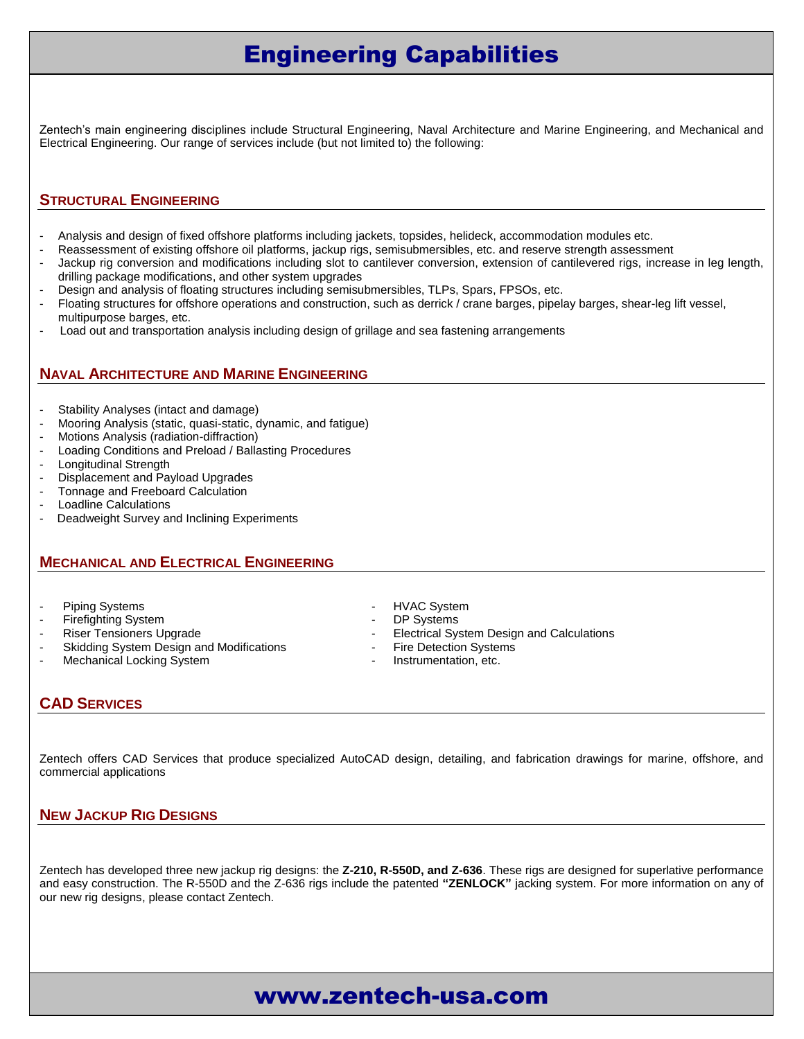# Engineering Capabilities

Zentech's main engineering disciplines include Structural Engineering, Naval Architecture and Marine Engineering, and Mechanical and Electrical Engineering. Our range of services include (but not limited to) the following:

### **STRUCTURAL ENGINEERING**

- Analysis and design of fixed offshore platforms including jackets, topsides, helideck, accommodation modules etc.
- Reassessment of existing offshore oil platforms, jackup rigs, semisubmersibles, etc. and reserve strength assessment
- Jackup rig conversion and modifications including slot to cantilever conversion, extension of cantilevered rigs, increase in leg length, drilling package modifications, and other system upgrades
- Design and analysis of floating structures including semisubmersibles, TLPs, Spars, FPSOs, etc.
- Floating structures for offshore operations and construction, such as derrick / crane barges, pipelay barges, shear-leg lift vessel, multipurpose barges, etc.
- Load out and transportation analysis including design of grillage and sea fastening arrangements

### **NAVAL ARCHITECTURE AND MARINE ENGINEERING**

- Stability Analyses (intact and damage)<br>- Mooring Analysis (static, quasi-static, d
- Mooring Analysis (static, quasi-static, dynamic, and fatigue)
- Motions Analysis (radiation-diffraction)
- Loading Conditions and Preload / Ballasting Procedures
- Longitudinal Strength
- Displacement and Payload Upgrades
- Tonnage and Freeboard Calculation
- Loadline Calculations
- Deadweight Survey and Inclining Experiments

### **MECHANICAL AND ELECTRICAL ENGINEERING**

- Piping Systems  **HVAC System**
- Firefighting System  **DP Systems**
- 
- Skidding System Design and Modifications Fire Detection Systems
- Mechanical Locking System **Accord 2018** Instrumentation, etc.
- 
- 
- Riser Tensioners Upgrade  $\overline{a}$  **Electrical System Design and Calculations** 
	-
	-

### **CAD SERVICES**

Zentech offers CAD Services that produce specialized AutoCAD design, detailing, and fabrication drawings for marine, offshore, and commercial applications

### **NEW JACKUP RIG DESIGNS**

Zentech has developed three new jackup rig designs: the **Z-210, R-550D, and Z-636**. These rigs are designed for superlative performance and easy construction. The R-550D and the Z-636 rigs include the patented **"ZENLOCK"** jacking system. For more information on any of our new rig designs, please contact Zentech.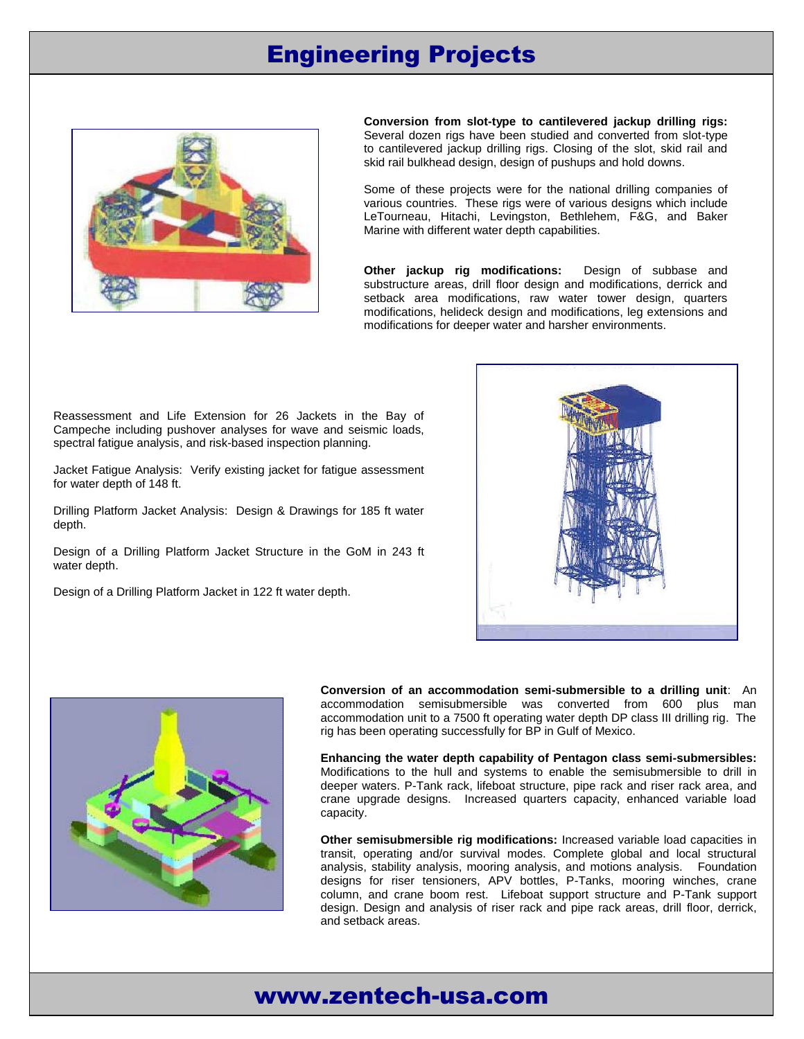# Engineering Projects



**Conversion from slot-type to cantilevered jackup drilling rigs:** Several dozen rigs have been studied and converted from slot-type to cantilevered jackup drilling rigs. Closing of the slot, skid rail and skid rail bulkhead design, design of pushups and hold downs.

Some of these projects were for the national drilling companies of various countries. These rigs were of various designs which include LeTourneau, Hitachi, Levingston, Bethlehem, F&G, and Baker Marine with different water depth capabilities.

**Other jackup rig modifications:** Design of subbase and substructure areas, drill floor design and modifications, derrick and setback area modifications, raw water tower design, quarters modifications, helideck design and modifications, leg extensions and modifications for deeper water and harsher environments.

Reassessment and Life Extension for 26 Jackets in the Bay of Campeche including pushover analyses for wave and seismic loads, spectral fatigue analysis, and risk-based inspection planning.

Jacket Fatigue Analysis: Verify existing jacket for fatigue assessment for water depth of 148 ft.

Drilling Platform Jacket Analysis: Design & Drawings for 185 ft water depth.

Design of a Drilling Platform Jacket Structure in the GoM in 243 ft water depth.

Design of a Drilling Platform Jacket in 122 ft water depth.





**Conversion of an accommodation semi-submersible to a drilling unit**: An accommodation semisubmersible was converted from 600 plus man accommodation unit to a 7500 ft operating water depth DP class III drilling rig. The rig has been operating successfully for BP in Gulf of Mexico.

**Enhancing the water depth capability of Pentagon class semi-submersibles:** Modifications to the hull and systems to enable the semisubmersible to drill in deeper waters. P-Tank rack, lifeboat structure, pipe rack and riser rack area, and crane upgrade designs. Increased quarters capacity, enhanced variable load capacity.

**Other semisubmersible rig modifications:** Increased variable load capacities in transit, operating and/or survival modes. Complete global and local structural analysis, stability analysis, mooring analysis, and motions analysis. Foundation designs for riser tensioners, APV bottles, P-Tanks, mooring winches, crane column, and crane boom rest. Lifeboat support structure and P-Tank support design. Design and analysis of riser rack and pipe rack areas, drill floor, derrick, and setback areas.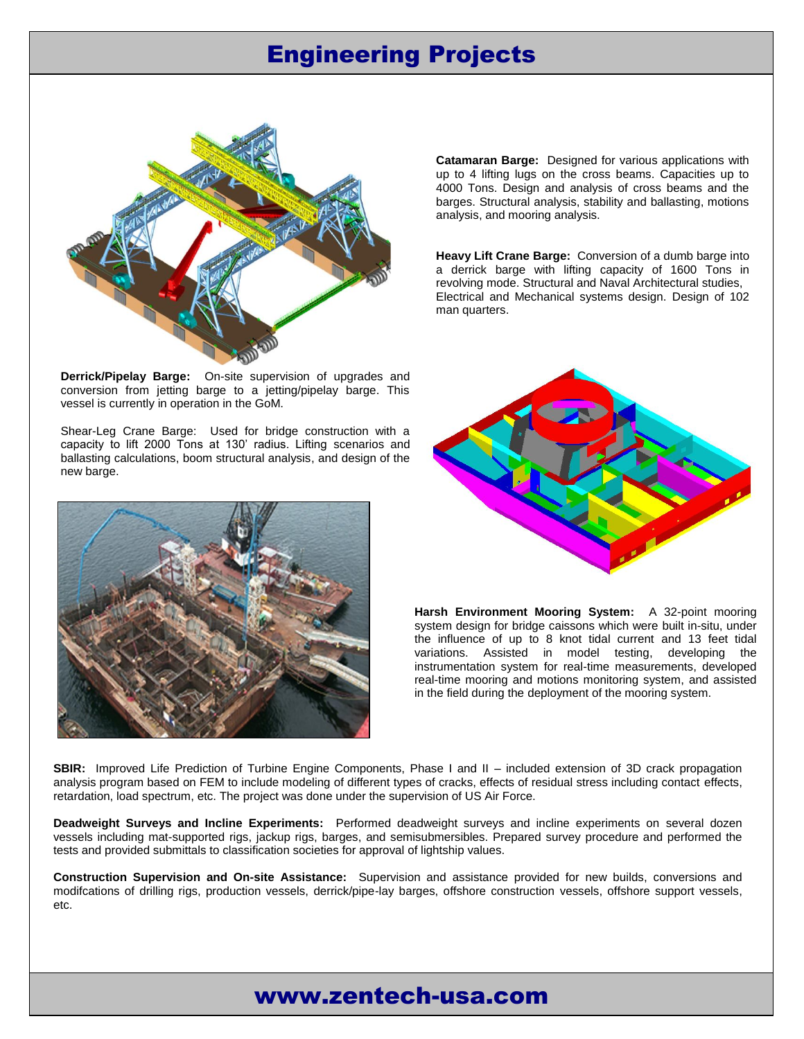# Engineering Projects



**Catamaran Barge:** Designed for various applications with up to 4 lifting lugs on the cross beams. Capacities up to 4000 Tons. Design and analysis of cross beams and the barges. Structural analysis, stability and ballasting, motions analysis, and mooring analysis.

**Heavy Lift Crane Barge:** Conversion of a dumb barge into a derrick barge with lifting capacity of 1600 Tons in revolving mode. Structural and Naval Architectural studies, Electrical and Mechanical systems design. Design of 102 man quarters.

**Derrick/Pipelay Barge:** On-site supervision of upgrades and conversion from jetting barge to a jetting/pipelay barge. This vessel is currently in operation in the GoM.

Shear-Leg Crane Barge: Used for bridge construction with a capacity to lift 2000 Tons at 130' radius. Lifting scenarios and ballasting calculations, boom structural analysis, and design of the new barge.





**Harsh Environment Mooring System:** A 32-point mooring system design for bridge caissons which were built in-situ, under the influence of up to 8 knot tidal current and 13 feet tidal variations. Assisted in model testing, developing the instrumentation system for real-time measurements, developed real-time mooring and motions monitoring system, and assisted in the field during the deployment of the mooring system.

**SBIR:** Improved Life Prediction of Turbine Engine Components, Phase I and II – included extension of 3D crack propagation analysis program based on FEM to include modeling of different types of cracks, effects of residual stress including contact effects, retardation, load spectrum, etc. The project was done under the supervision of US Air Force.

**Deadweight Surveys and Incline Experiments:** Performed deadweight surveys and incline experiments on several dozen vessels including mat-supported rigs, jackup rigs, barges, and semisubmersibles. Prepared survey procedure and performed the tests and provided submittals to classification societies for approval of lightship values.

**Construction Supervision and On-site Assistance:** Supervision and assistance provided for new builds, conversions and modifcations of drilling rigs, production vessels, derrick/pipe-lay barges, offshore construction vessels, offshore support vessels, etc.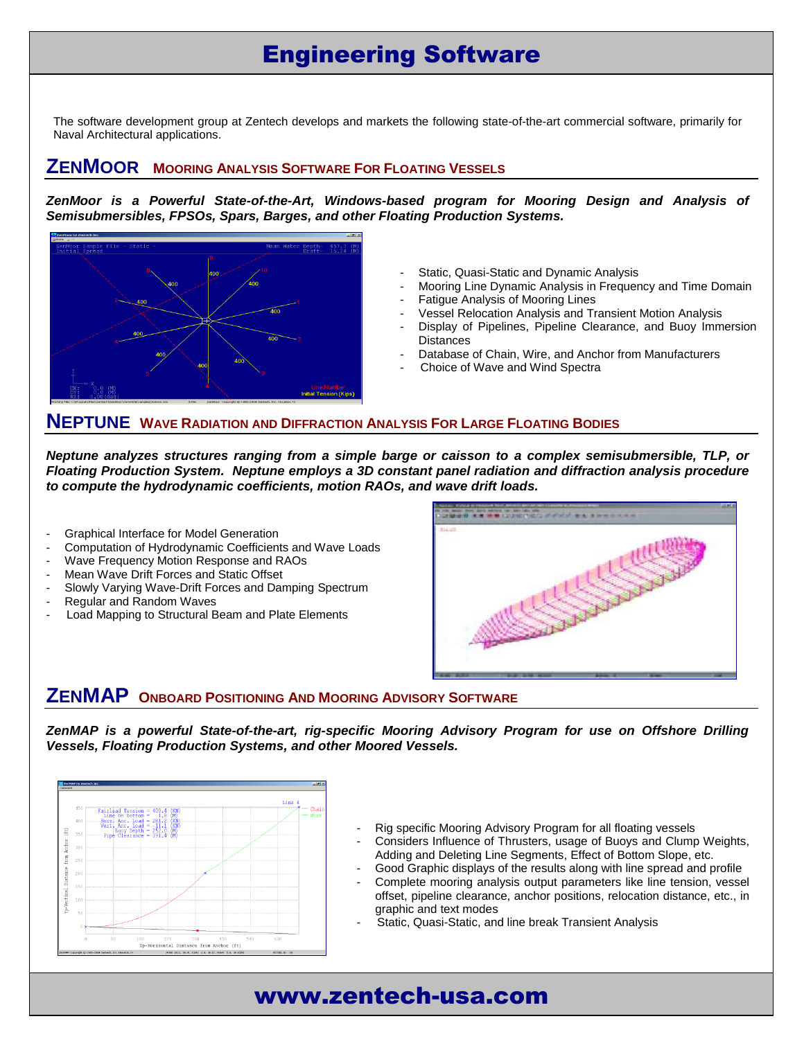# Engineering Software

The software development group at Zentech develops and markets the following state-of-the-art commercial software, primarily for Naval Architectural applications.

### **ZENMOOR MOORING ANALYSIS SOFTWARE FOR FLOATING VESSELS**

*ZenMoor is a Powerful State-of-the-Art, Windows-based program for Mooring Design and Analysis of Semisubmersibles, FPSOs, Spars, Barges, and other Floating Production Systems.*



- Static, Quasi-Static and Dynamic Analysis
- Mooring Line Dynamic Analysis in Frequency and Time Domain
- **Fatigue Analysis of Mooring Lines** 
	- Vessel Relocation Analysis and Transient Motion Analysis
- Display of Pipelines, Pipeline Clearance, and Buoy Immersion **Distances**
- Database of Chain, Wire, and Anchor from Manufacturers
- Choice of Wave and Wind Spectra

### **NEPTUNE WAVE RADIATION AND DIFFRACTION ANALYSIS FOR LARGE FLOATING BODIES**

*Neptune analyzes structures ranging from a simple barge or caisson to a complex semisubmersible, TLP, or Floating Production System. Neptune employs a 3D constant panel radiation and diffraction analysis procedure to compute the hydrodynamic coefficients, motion RAOs, and wave drift loads.*

- Graphical Interface for Model Generation
- Computation of Hydrodynamic Coefficients and Wave Loads
- Wave Frequency Motion Response and RAOs
- Mean Wave Drift Forces and Static Offset
- Slowly Varying Wave-Drift Forces and Damping Spectrum
- Regular and Random Waves
- Load Mapping to Structural Beam and Plate Elements



## **ZENMAP <sup>O</sup>NBOARD <sup>P</sup>OSITIONING AND MOORING ADVISORY SOFTWARE**

*ZenMAP is a powerful State-of-the-art, rig-specific Mooring Advisory Program for use on Offshore Drilling Vessels, Floating Production Systems, and other Moored Vessels.*



- Rig specific Mooring Advisory Program for all floating vessels
- Considers Influence of Thrusters, usage of Buoys and Clump Weights, Adding and Deleting Line Segments, Effect of Bottom Slope, etc.
- Good Graphic displays of the results along with line spread and profile
- Complete mooring analysis output parameters like line tension, vessel offset, pipeline clearance, anchor positions, relocation distance, etc., in graphic and text modes
- Static, Quasi-Static, and line break Transient Analysis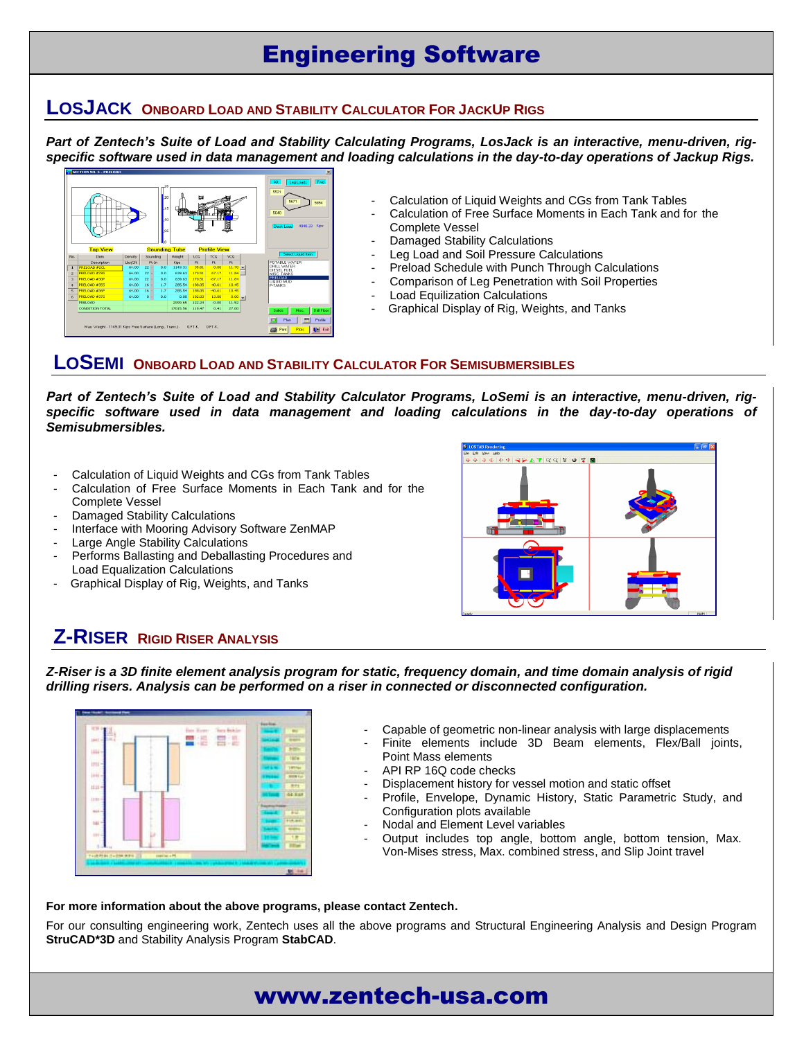# Engineering Software

### **LOSJACK ONBOARD LOAD AND STABILITY CALCULATOR FOR JACKUP RIGS**

*Part of Zentech's Suite of Load and Stability Calculating Programs, LosJack is an interactive, menu-driven, rigspecific software used in data management and loading calculations in the day-to-day operations of Jackup Rigs.*



- Calculation of Liquid Weights and CGs from Tank Tables
- Calculation of Free Surface Moments in Each Tank and for the Complete Vessel
- Damaged Stability Calculations
- Leg Load and Soil Pressure Calculations
- Preload Schedule with Punch Through Calculations
- Comparison of Leg Penetration with Soil Properties
- Load Equilization Calculations
- Graphical Display of Rig, Weights, and Tanks

### **LOSEMI ONBOARD LOAD AND STABILITY CALCULATOR FOR SEMISUBMERSIBLES**

*Part of Zentech's Suite of Load and Stability Calculator Programs, LoSemi is an interactive, menu-driven, rig*specific software used in data management and loading calculations in the day-to-day operations of *Semisubmersibles.*

- Calculation of Liquid Weights and CGs from Tank Tables
- Calculation of Free Surface Moments in Each Tank and for the Complete Vessel
- Damaged Stability Calculations
- Interface with Mooring Advisory Software ZenMAP
- Large Angle Stability Calculations
- Performs Ballasting and Deballasting Procedures and Load Equalization Calculations
- Graphical Display of Rig, Weights, and Tanks



## **Z-RISER RIGID RISER ANALYSIS**

*Z-Riser is a 3D finite element analysis program for static, frequency domain, and time domain analysis of rigid drilling risers. Analysis can be performed on a riser in connected or disconnected configuration.*



- Capable of geometric non-linear analysis with large displacements
- Finite elements include 3D Beam elements, Flex/Ball joints, Point Mass elements
- API RP 16Q code checks
- Displacement history for vessel motion and static offset
- Profile, Envelope, Dynamic History, Static Parametric Study, and Configuration plots available
- Nodal and Element Level variables
- Output includes top angle, bottom angle, bottom tension, Max. Von-Mises stress, Max. combined stress, and Slip Joint travel

#### **For more information about the above programs, please contact Zentech.**

For our consulting engineering work, Zentech uses all the above programs and Structural Engineering Analysis and Design Program **StruCAD\*3D** and Stability Analysis Program **StabCAD**.